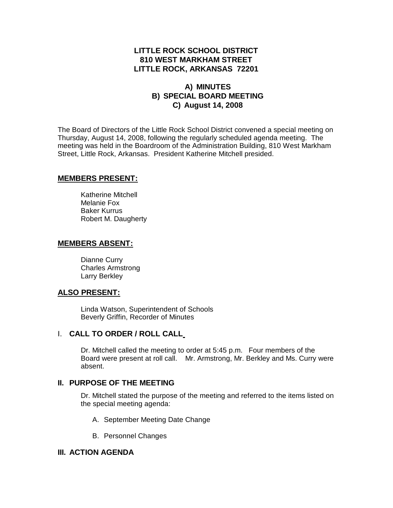# **LITTLE ROCK SCHOOL DISTRICT 810 WEST MARKHAM STREET LITTLE ROCK, ARKANSAS 72201**

# **A) MINUTES B) SPECIAL BOARD MEETING C) August 14, 2008**

The Board of Directors of the Little Rock School District convened a special meeting on Thursday, August 14, 2008, following the regularly scheduled agenda meeting. The meeting was held in the Boardroom of the Administration Building, 810 West Markham Street, Little Rock, Arkansas. President Katherine Mitchell presided.

#### **MEMBERS PRESENT:**

Katherine Mitchell Melanie Fox Baker Kurrus Robert M. Daugherty

#### **MEMBERS ABSENT:**

Dianne Curry Charles Armstrong Larry Berkley

#### **ALSO PRESENT:**

Linda Watson, Superintendent of Schools Beverly Griffin, Recorder of Minutes

## I. **CALL TO ORDER / ROLL CALL**

Dr. Mitchell called the meeting to order at 5:45 p.m. Four members of the Board were present at roll call. Mr. Armstrong, Mr. Berkley and Ms. Curry were absent.

#### **II. PURPOSE OF THE MEETING**

Dr. Mitchell stated the purpose of the meeting and referred to the items listed on the special meeting agenda:

- A. September Meeting Date Change
- B. Personnel Changes

#### **III. ACTION AGENDA**